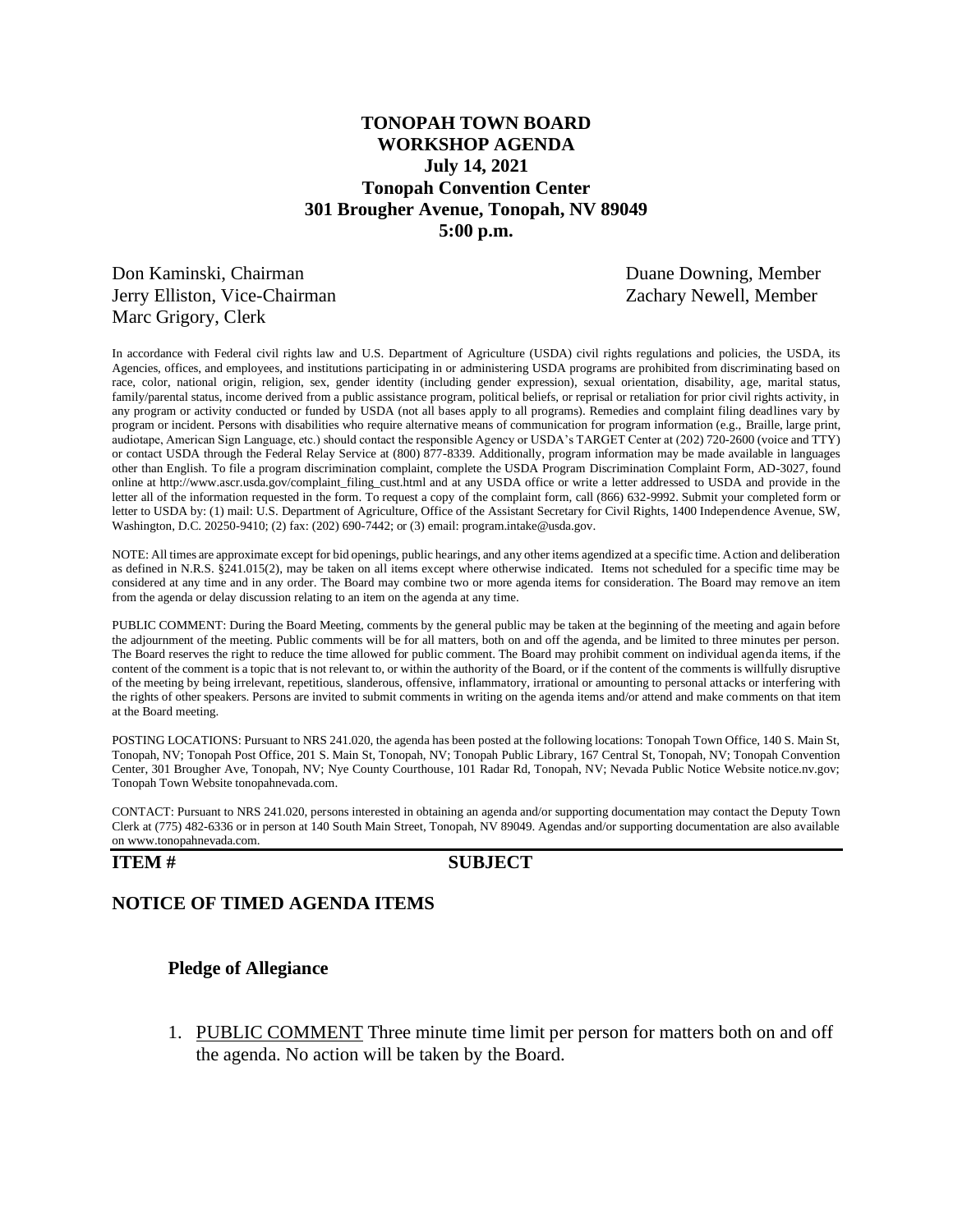# **TONOPAH TOWN BOARD WORKSHOP AGENDA July 14, 2021 Tonopah Convention Center 301 Brougher Avenue, Tonopah, NV 89049 5:00 p.m.**

Don Kaminski, Chairman Duane Downing, Member Jerry Elliston, Vice-Chairman **Vacana Carry School** Zachary Newell, Member Marc Grigory, Clerk

In accordance with Federal civil rights law and U.S. Department of Agriculture (USDA) civil rights regulations and policies, the USDA, its Agencies, offices, and employees, and institutions participating in or administering USDA programs are prohibited from discriminating based on race, color, national origin, religion, sex, gender identity (including gender expression), sexual orientation, disability, age, marital status, family/parental status, income derived from a public assistance program, political beliefs, or reprisal or retaliation for prior civil rights activity, in any program or activity conducted or funded by USDA (not all bases apply to all programs). Remedies and complaint filing deadlines vary by program or incident. Persons with disabilities who require alternative means of communication for program information (e.g., Braille, large print, audiotape, American Sign Language, etc.) should contact the responsible Agency or USDA's TARGET Center at (202) 720-2600 (voice and TTY) or contact USDA through the Federal Relay Service at (800) 877-8339. Additionally, program information may be made available in languages other than English. To file a program discrimination complaint, complete the USDA Program Discrimination Complaint Form, AD-3027, found online at http://www.ascr.usda.gov/complaint\_filing\_cust.html and at any USDA office or write a letter addressed to USDA and provide in the letter all of the information requested in the form. To request a copy of the complaint form, call (866) 632-9992. Submit your completed form or letter to USDA by: (1) mail: U.S. Department of Agriculture, Office of the Assistant Secretary for Civil Rights, 1400 Independence Avenue, SW, Washington, D.C. 20250-9410; (2) fax: (202) 690-7442; or (3) email: program.intake@usda.gov.

NOTE: All times are approximate except for bid openings, public hearings, and any other items agendized at a specific time. Action and deliberation as defined in N.R.S. §241.015(2), may be taken on all items except where otherwise indicated. Items not scheduled for a specific time may be considered at any time and in any order. The Board may combine two or more agenda items for consideration. The Board may remove an item from the agenda or delay discussion relating to an item on the agenda at any time.

PUBLIC COMMENT: During the Board Meeting, comments by the general public may be taken at the beginning of the meeting and again before the adjournment of the meeting. Public comments will be for all matters, both on and off the agenda, and be limited to three minutes per person. The Board reserves the right to reduce the time allowed for public comment. The Board may prohibit comment on individual agenda items, if the content of the comment is a topic that is not relevant to, or within the authority of the Board, or if the content of the comments is willfully disruptive of the meeting by being irrelevant, repetitious, slanderous, offensive, inflammatory, irrational or amounting to personal attacks or interfering with the rights of other speakers. Persons are invited to submit comments in writing on the agenda items and/or attend and make comments on that item at the Board meeting.

POSTING LOCATIONS: Pursuant to NRS 241.020, the agenda has been posted at the following locations: Tonopah Town Office, 140 S. Main St, Tonopah, NV; Tonopah Post Office, 201 S. Main St, Tonopah, NV; Tonopah Public Library, 167 Central St, Tonopah, NV; Tonopah Convention Center, 301 Brougher Ave, Tonopah, NV; Nye County Courthouse, 101 Radar Rd, Tonopah, NV; Nevada Public Notice Website notice.nv.gov; Tonopah Town Website tonopahnevada.com.

CONTACT: Pursuant to NRS 241.020, persons interested in obtaining an agenda and/or supporting documentation may contact the Deputy Town Clerk at (775) 482-6336 or in person at 140 South Main Street, Tonopah, NV 89049. Agendas and/or supporting documentation are also available on www.tonopahnevada.com.

### **ITEM # SUBJECT**

# **NOTICE OF TIMED AGENDA ITEMS**

# **Pledge of Allegiance**

1. PUBLIC COMMENT Three minute time limit per person for matters both on and off the agenda. No action will be taken by the Board.